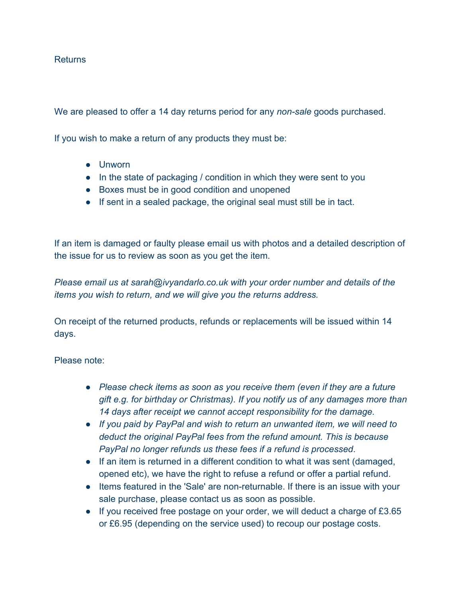## Returns

We are pleased to offer a 14 day returns period for any *non-sale* goods purchased.

If you wish to make a return of any products they must be:

- Unworn
- In the state of packaging / condition in which they were sent to you
- Boxes must be in good condition and unopened
- If sent in a sealed package, the original seal must still be in tact.

If an item is damaged or faulty please email us with photos and a detailed description of the issue for us to review as soon as you get the item.

*Please email us at sarah@ivyandarlo.co.uk with your order number and details of the items you wish to return, and we will give you the returns address.*

On receipt of the returned products, refunds or replacements will be issued within 14 days.

Please note:

- *Please check items as soon as you receive them (even if they are a future gift e.g. for birthday or Christmas). If you notify us of any damages more than 14 days after receipt we cannot accept responsibility for the damage.*
- *If you paid by PayPal and wish to return an unwanted item, we will need to deduct the original PayPal fees from the refund amount. This is because PayPal no longer refunds us these fees if a refund is processed*.
- If an item is returned in a different condition to what it was sent (damaged, opened etc), we have the right to refuse a refund or offer a partial refund.
- Items featured in the 'Sale' are non-returnable. If there is an issue with your sale purchase, please contact us as soon as possible.
- If you received free postage on your order, we will deduct a charge of £3.65 or £6.95 (depending on the service used) to recoup our postage costs.